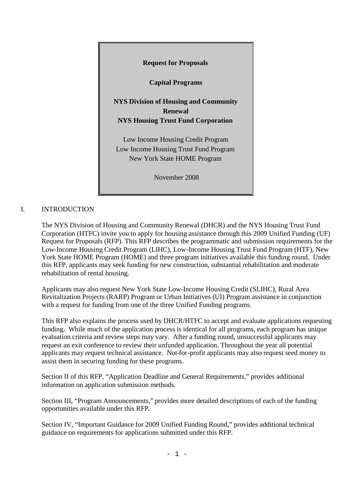

# I. INTRODUCTION

The NYS Division of Housing and Community Renewal (DHCR) and the NYS Housing Trust Fund Corporation (HTFC) invite you to apply for housing assistance through this 2009 Unified Funding (UF) Request for Proposals (RFP). This RFP describes the programmatic and submission requirements for the Low-Income Housing Credit Program (LIHC), Low-Income Housing Trust Fund Program (HTF), New York State HOME Program (HOME) and three program initiatives available this funding round. Under this RFP, applicants may seek funding for new construction, substantial rehabilitation and moderate rehabilitation of rental housing.

Applicants may also request New York State Low-Income Housing Credit (SLIHC), Rural Area Revitalization Projects (RARP) Program or Urban Initiatives (UI) Program assistance in conjunction with a request for funding from one of the three Unified Funding programs.

This RFP also explains the process used by DHCR/HTFC to accept and evaluate applications requesting funding. While much of the application process is identical for all programs, each program has unique evaluation criteria and review steps may vary. After a funding round, unsuccessful applicants may request an exit conference to review their unfunded application. Throughout the year all potential applicants may request technical assistance. Not-for-profit applicants may also request seed money to assist them in securing funding for these programs.

Section II of this RFP, "Application Deadline and General Requirements," provides additional information on application submission methods.

Section III, "Program Announcements," provides more detailed descriptions of each of the funding opportunities available under this RFP**.**

Section IV, "Important Guidance for 2009 Unified Funding Round," provides additional technical guidance on requirements for applications submitted under this RFP.

 $- 1 -$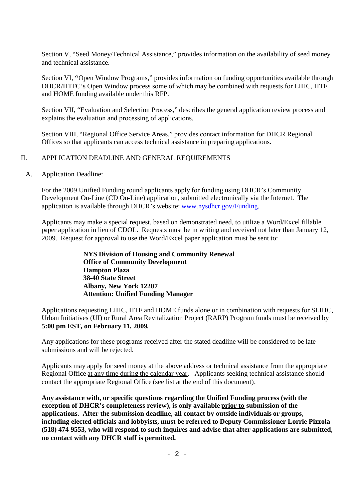Section V, "Seed Money/Technical Assistance," provides information on the availability of seed money and technical assistance.

Section VI, **"**Open Window Programs," provides information on funding opportunities available through DHCR/HTFC's Open Window process some of which may be combined with requests for LIHC, HTF and HOME funding available under this RFP.

Section VII, "Evaluation and Selection Process," describes the general application review process and explains the evaluation and processing of applications.

Section VIII, "Regional Office Service Areas," provides contact information for DHCR Regional Offices so that applicants can access technical assistance in preparing applications.

### II. APPLICATION DEADLINE AND GENERAL REQUIREMENTS

A. Application Deadline:

For the 2009 Unified Funding round applicants apply for funding using DHCR's Community Development On-Line (CD On-Line) application, submitted electronically via the Internet. The application is available through DHCR's website: www.nysdhcr.gov/Funding.

Applicants may make a special request, based on demonstrated need, to utilize a Word/Excel fillable paper application in lieu of CDOL. Requests must be in writing and received not later than January 12, 2009. Request for approval to use the Word/Excel paper application must be sent to:

> **NYS Division of Housing and Community Renewal Office of Community Development Hampton Plaza 38-40 State Street Albany, New York 12207 Attention: Unified Funding Manager**

Applications requesting LIHC, HTF and HOME funds alone or in combination with requests for SLIHC, Urban Initiatives (UI) or Rural Area Revitalization Project (RARP) Program funds must be received by **5:00 pm EST, on February 11, 2009.**

Any applications for these programs received after the stated deadline will be considered to be late submissions and will be rejected.

Applicants may apply for seed money at the above address or technical assistance from the appropriate Regional Office at any time during the calendar year**.** Applicants seeking technical assistance should contact the appropriate Regional Office (see list at the end of this document).

**Any assistance with, or specific questions regarding the Unified Funding process (with the exception of DHCR's completeness review), is only available prior to submission of the applications. After the submission deadline, all contact by outside individuals or groups, including elected officials and lobbyists, must be referred to Deputy Commissioner Lorrie Pizzola (518) 474-9553, who will respond to such inquires and advise that after applications are submitted, no contact with any DHCR staff is permitted.**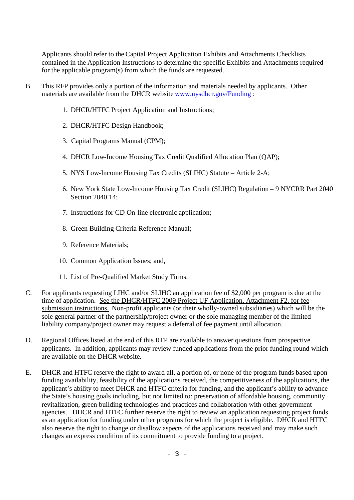Applicants should refer to the Capital Project Application Exhibits and Attachments Checklists contained in the Application Instructions to determine the specific Exhibits and Attachments required for the applicable program(s) from which the funds are requested.

- B. This RFP provides only a portion of the information and materials needed by applicants. Other materials are available from the DHCR website www.nysdhcr.gov/Funding :
	- 1. DHCR/HTFC Project Application and Instructions;
	- 2. DHCR/HTFC Design Handbook;
	- 3. Capital Programs Manual (CPM);
	- 4. DHCR Low-Income Housing Tax Credit Qualified Allocation Plan (QAP);
	- 5. NYS Low-Income Housing Tax Credits (SLIHC) Statute Article 2-A;
	- 6. New York State Low-Income Housing Tax Credit (SLIHC) Regulation 9 NYCRR Part 2040 Section 2040.14;
	- 7. Instructions for CD-On-line electronic application;
	- 8. Green Building Criteria Reference Manual;
	- 9. Reference Materials;
	- 10. Common Application Issues; and,
	- 11. List of Pre-Qualified Market Study Firms.
- C. For applicants requesting LIHC and/or SLIHC an application fee of \$2,000 per program is due at the time of application. See the DHCR/HTFC 2009 Project UF Application, Attachment F2, for fee submission instructions. Non-profit applicants (or their wholly-owned subsidiaries) which will be the sole general partner of the partnership/project owner or the sole managing member of the limited liability company/project owner may request a deferral of fee payment until allocation.
- D. Regional Offices listed at the end of this RFP are available to answer questions from prospective applicants. In addition, applicants may review funded applications from the prior funding round which are available on the DHCR website.
- E. DHCR and HTFC reserve the right to award all, a portion of, or none of the program funds based upon funding availability, feasibility of the applications received, the competitiveness of the applications, the applicant's ability to meet DHCR and HTFC criteria for funding, and the applicant's ability to advance the State's housing goals including, but not limited to: preservation of affordable housing, community revitalization, green building technologies and practices and collaboration with other government agencies. DHCR and HTFC further reserve the right to review an application requesting project funds as an application for funding under other programs for which the project is eligible. DHCR and HTFC also reserve the right to change or disallow aspects of the applications received and may make such changes an express condition of its commitment to provide funding to a project.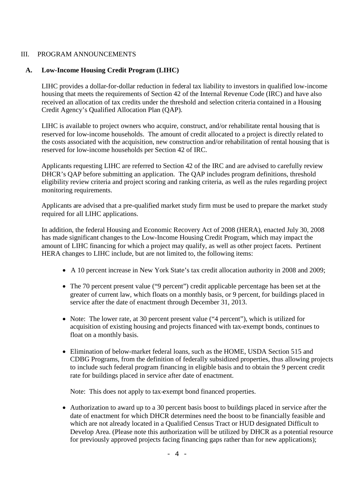### III. PROGRAM ANNOUNCEMENTS

### **A. Low-Income Housing Credit Program (LIHC)**

LIHC provides a dollar-for-dollar reduction in federal tax liability to investors in qualified low-income housing that meets the requirements of Section 42 of the Internal Revenue Code (IRC) and have also received an allocation of tax credits under the threshold and selection criteria contained in a Housing Credit Agency's Qualified Allocation Plan (QAP).

LIHC is available to project owners who acquire, construct, and/or rehabilitate rental housing that is reserved for low-income households. The amount of credit allocated to a project is directly related to the costs associated with the acquisition, new construction and/or rehabilitation of rental housing that is reserved for low-income households per Section 42 of IRC.

Applicants requesting LIHC are referred to Section 42 of the IRC and are advised to carefully review DHCR's OAP before submitting an application. The OAP includes program definitions, threshold eligibility review criteria and project scoring and ranking criteria, as well as the rules regarding project monitoring requirements.

Applicants are advised that a pre-qualified market study firm must be used to prepare the market study required for all LIHC applications.

In addition, the federal Housing and Economic Recovery Act of 2008 (HERA), enacted July 30, 2008 has made significant changes to the Low-Income Housing Credit Program, which may impact the amount of LIHC financing for which a project may qualify, as well as other project facets. Pertinent HERA changes to LIHC include, but are not limited to, the following items:

- A 10 percent increase in New York State's tax credit allocation authority in 2008 and 2009;
- The 70 percent present value ("9 percent") credit applicable percentage has been set at the greater of current law, which floats on a monthly basis, or 9 percent, for buildings placed in service after the date of enactment through December 31, 2013.
- Note: The lower rate, at 30 percent present value ("4 percent"), which is utilized for acquisition of existing housing and projects financed with tax-exempt bonds, continues to float on a monthly basis.
- Elimination of below-market federal loans, such as the HOME, USDA Section 515 and CDBG Programs, from the definition of federally subsidized properties, thus allowing projects to include such federal program financing in eligible basis and to obtain the 9 percent credit rate for buildings placed in service after date of enactment.

Note: This does not apply to tax-exempt bond financed properties.

Authorization to award up to a 30 percent basis boost to buildings placed in service after the date of enactment for which DHCR determines need the boost to be financially feasible and which are not already located in a Qualified Census Tract or HUD designated Difficult to Develop Area. (Please note this authorization will be utilized by DHCR as a potential resource for previously approved projects facing financing gaps rather than for new applications);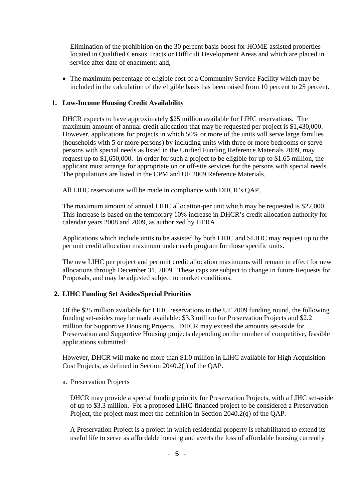Elimination of the prohibition on the 30 percent basis boost for HOME-assisted properties located in Qualified Census Tracts or Difficult Development Areas and which are placed in service after date of enactment; and,

The maximum percentage of eligible cost of a Community Service Facility which may be included in the calculation of the eligible basis has been raised from 10 percent to 25 percent.

### **1. Low-Income Housing Credit Availability**

DHCR expects to have approximately \$25 million available for LIHC reservations. The maximum amount of annual credit allocation that may be requested per project is \$1,430,000. However, applications for projects in which 50% or more of the units will serve large families (households with 5 or more persons) by including units with three or more bedrooms or serve persons with special needs as listed in the Unified Funding Reference Materials 2009, may request up to \$1,650,000. In order for such a project to be eligible for up to \$1.65 million, the applicant must arrange for appropriate on or off-site services for the persons with special needs. The populations are listed in the CPM and UF 2009 Reference Materials.

All LIHC reservations will be made in compliance with DHCR's QAP.

The maximum amount of annual LIHC allocation-per unit which may be requested is \$22,000. This increase is based on the temporary 10% increase in DHCR's credit allocation authority for calendar years 2008 and 2009, as authorized by HERA.

Applications which include units to be assisted by both LIHC and SLIHC may request up to the per unit credit allocation maximum under each program for those specific units.

The new LIHC per project and per unit credit allocation maximums will remain in effect for new allocations through December 31, 2009. These caps are subject to change in future Requests for Proposals, and may be adjusted subject to market conditions.

## **2. LIHC Funding Set Asides/Special Priorities**

Of the \$25 million available for LIHC reservations in the UF 2009 funding round, the following funding set-asides may be made available: \$3.3 million for Preservation Projects and \$2.2 million for Supportive Housing Projects. DHCR may exceed the amounts set-aside for Preservation and Supportive Housing projects depending on the number of competitive, feasible applications submitted.

However, DHCR will make no more than \$1.0 million in LIHC available for High Acquisition Cost Projects, as defined in Section 2040.2(j) of the QAP.

#### a. Preservation Projects

DHCR may provide a special funding priority for Preservation Projects, with a LIHC set-aside of up to \$3.3 million. For a proposed LIHC-financed project to be considered a Preservation Project, the project must meet the definition in Section 2040.2(q) of the QAP.

A Preservation Project is a project in which residential property is rehabilitated to extend its useful life to serve as affordable housing and averts the loss of affordable housing currently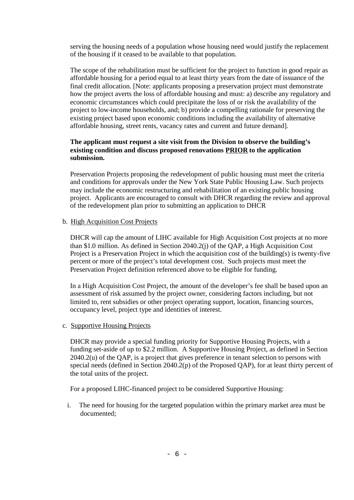serving the housing needs of a population whose housing need would justify the replacement of the housing if it ceased to be available to that population.

The scope of the rehabilitation must be sufficient for the project to function in good repair as affordable housing for a period equal to at least thirty years from the date of issuance of the final credit allocation. [Note: applicants proposing a preservation project must demonstrate how the project averts the loss of affordable housing and must: a) describe any regulatory and economic circumstances which could precipitate the loss of or risk the availability of the project to low-income households, and; b) provide a compelling rationale for preserving the existing project based upon economic conditions including the availability of alternative affordable housing, street rents, vacancy rates and current and future demand].

### **The applicant must request a site visit from the Division to observe the building's existing condition and discuss proposed renovations PRIOR to the application submission.**

Preservation Projects proposing the redevelopment of public housing must meet the criteria and conditions for approvals under the New York State Public Housing Law. Such projects may include the economic restructuring and rehabilitation of an existing public housing project. Applicants are encouraged to consult with DHCR regarding the review and approval of the redevelopment plan prior to submitting an application to DHCR

### b. High Acquisition Cost Projects

DHCR will cap the amount of LIHC available for High Acquisition Cost projects at no more than \$1.0 million. As defined in Section 2040.2(j) of the QAP, a High Acquisition Cost Project is a Preservation Project in which the acquisition cost of the building(s) is twenty-five percent or more of the project's total development cost. Such projects must meet the Preservation Project definition referenced above to be eligible for funding.

In a High Acquisition Cost Project, the amount of the developer's fee shall be based upon an assessment of risk assumed by the project owner, considering factors including, but not limited to, rent subsidies or other project operating support, location, financing sources, occupancy level, project type and identities of interest.

### c. Supportive Housing Projects

DHCR may provide a special funding priority for Supportive Housing Projects, with a funding set-aside of up to \$2.2 million. A Supportive Housing Project, as defined in Section 2040.2(u) of the QAP, is a project that gives preference in tenant selection to persons with special needs (defined in Section 2040.2(p) of the Proposed QAP), for at least thirty percent of the total units of the project.

For a proposed LIHC-financed project to be considered Supportive Housing:

i. The need for housing for the targeted population within the primary market area must be documented;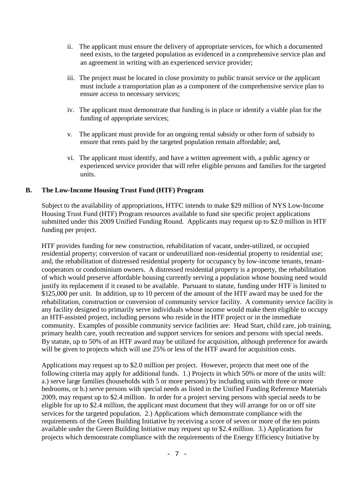- ii. The applicant must ensure the delivery of appropriate services, for which a documented need exists, to the targeted population as evidenced in a comprehensive service plan and an agreement in writing with an experienced service provider;
- iii. The project must be located in close proximity to public transit service or the applicant must include a transportation plan as a component of the comprehensive service plan to ensure access to necessary services;
- iv. The applicant must demonstrate that funding is in place or identify a viable plan for the funding of appropriate services;
- v. The applicant must provide for an ongoing rental subsidy or other form of subsidy to ensure that rents paid by the targeted population remain affordable; and,
- vi. The applicant must identify, and have a written agreement with, a public agency or experienced service provider that will refer eligible persons and families for the targeted units.

### **B. The Low-Income Housing Trust Fund (HTF) Program**

Subject to the availability of appropriations, HTFC intends to make \$29 million of NYS Low-Income Housing Trust Fund (HTF) Program resources available to fund site specific project applications submitted under this 2009 Unified Funding Round. Applicants may request up to \$2.0 million in HTF funding per project.

HTF provides funding for new construction, rehabilitation of vacant, under-utilized, or occupied residential property; conversion of vacant or underutilized non-residential property to residential use; and, the rehabilitation of distressed residential property for occupancy by low-income tenants, tenantcooperators or condominium owners. A distressed residential property is a property, the rehabilitation of which would preserve affordable housing currently serving a population whose housing need would justify its replacement if it ceased to be available. Pursuant to statute, funding under HTF is limited to \$125,000 per unit. In addition, up to 10 percent of the amount of the HTF award may be used for the rehabilitation, construction or conversion of community service facility. A community service facility is any facility designed to primarily serve individuals whose income would make them eligible to occupy an HTF-assisted project, including persons who reside in the HTF project or in the immediate community. Examples of possible community service facilities are: Head Start, child care, job training, primary health care, youth recreation and support services for seniors and persons with special needs. By statute, up to 50% of an HTF award may be utilized for acquisition, although preference for awards will be given to projects which will use 25% or less of the HTF award for acquisition costs.

Applications may request up to \$2.0 million per project. However, projects that meet one of the following criteria may apply for additional funds. 1.) Projects in which 50% or more of the units will: a.) serve large families (households with 5 or more persons) by including units with three or more bedrooms, or b.) serve persons with special needs as listed in the Unified Funding Reference Materials 2009, may request up to \$2.4 million. In order for a project serving persons with special needs to be eligible for up to \$2.4 million, the applicant must document that they will arrange for on or off site services for the targeted population. 2.) Applications which demonstrate compliance with the requirements of the Green Building Initiative by receiving a score of seven or more of the ten points available under the Green Building Initiative may request up to \$2.4 million. 3.) Applications for projects which demonstrate compliance with the requirements of the Energy Efficiency Initiative by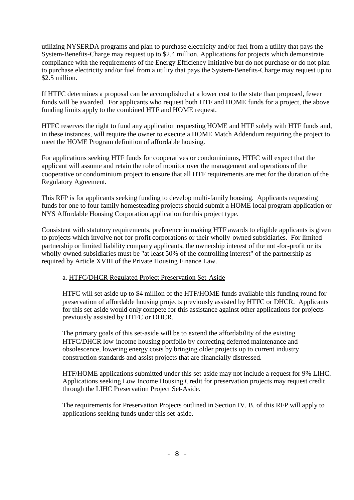utilizing NYSERDA programs and plan to purchase electricity and/or fuel from a utility that pays the System-Benefits-Charge may request up to \$2.4 million. Applications for projects which demonstrate compliance with the requirements of the Energy Efficiency Initiative but do not purchase or do not plan to purchase electricity and/or fuel from a utility that pays the System-Benefits-Charge may request up to \$2.5 million.

If HTFC determines a proposal can be accomplished at a lower cost to the state than proposed, fewer funds will be awarded. For applicants who request both HTF and HOME funds for a project, the above funding limits apply to the combined HTF and HOME request.

HTFC reserves the right to fund any application requesting HOME and HTF solely with HTF funds and, in these instances, will require the owner to execute a HOME Match Addendum requiring the project to meet the HOME Program definition of affordable housing.

For applications seeking HTF funds for cooperatives or condominiums, HTFC will expect that the applicant will assume and retain the role of monitor over the management and operations of the cooperative or condominium project to ensure that all HTF requirements are met for the duration of the Regulatory Agreement.

This RFP is for applicants seeking funding to develop multi-family housing. Applicants requesting funds for one to four family homesteading projects should submit a HOME local program application or NYS Affordable Housing Corporation application for this project type.

Consistent with statutory requirements, preference in making HTF awards to eligible applicants is given to projects which involve not-for-profit corporations or their wholly-owned subsidiaries. For limited partnership or limited liability company applicants, the ownership interest of the not -for-profit or its wholly-owned subsidiaries must be "at least 50% of the controlling interest" of the partnership as required by Article XVIII of the Private Housing Finance Law.

### a. HTFC/DHCR Regulated Project Preservation Set-Aside

HTFC will set-aside up to \$4 million of the HTF/HOME funds available this funding round for preservation of affordable housing projects previously assisted by HTFC or DHCR. Applicants for this set-aside would only compete for this assistance against other applications for projects previously assisted by HTFC or DHCR.

The primary goals of this set-aside will be to extend the affordability of the existing HTFC/DHCR low-income housing portfolio by correcting deferred maintenance and obsolescence, lowering energy costs by bringing older projects up to current industry construction standards and assist projects that are financially distressed.

HTF/HOME applications submitted under this set-aside may not include a request for 9% LIHC. Applications seeking Low Income Housing Credit for preservation projects may request credit through the LIHC Preservation Project Set-Aside.

The requirements for Preservation Projects outlined in Section IV. B. of this RFP will apply to applications seeking funds under this set-aside.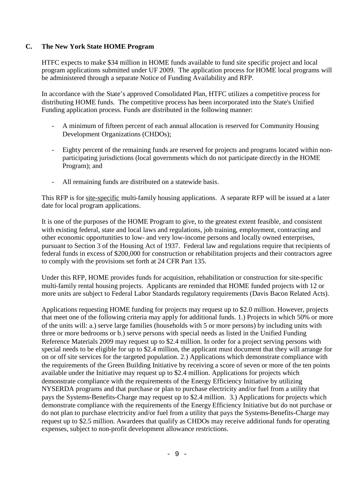### **C. The New York State HOME Program**

HTFC expects to make \$34 million in HOME funds available to fund site specific project and local program applications submitted under UF 2009. The application process for HOME local programs will be administered through a separate Notice of Funding Availability and RFP.

In accordance with the State's approved Consolidated Plan, HTFC utilizes a competitive process for distributing HOME funds. The competitive process has been incorporated into the State's Unified Funding application process. Funds are distributed in the following manner:

- A minimum of fifteen percent of each annual allocation is reserved for Community Housing Development Organizations (CHDOs);
- Eighty percent of the remaining funds are reserved for projects and programs located within nonparticipating jurisdictions (local governments which do not participate directly in the HOME Program); and
- All remaining funds are distributed on a statewide basis.

This RFP is for site-specific multi-family housing applications. A separate RFP will be issued at a later date for local program applications.

It is one of the purposes of the HOME Program to give, to the greatest extent feasible, and consistent with existing federal, state and local laws and regulations, job training, employment, contracting and other economic opportunities to low- and very low-income persons and locally owned enterprises, pursuant to Section 3 of the Housing Act of 1937. Federal law and regulations require that recipients of federal funds in excess of \$200,000 for construction or rehabilitation projects and their contractors agree to comply with the provisions set forth at 24 CFR Part 135.

Under this RFP, HOME provides funds for acquisition, rehabilitation or construction for site-specific multi-family rental housing projects. Applicants are reminded that HOME funded projects with 12 or more units are subject to Federal Labor Standards regulatory requirements (Davis Bacon Related Acts).

Applications requesting HOME funding for projects may request up to \$2.0 million. However, projects that meet one of the following criteria may apply for additional funds. 1.) Projects in which 50% or more of the units will: a.) serve large families (households with 5 or more persons) by including units with three or more bedrooms or b.) serve persons with special needs as listed in the Unified Funding Reference Materials 2009 may request up to \$2.4 million. In order for a project serving persons with special needs to be eligible for up to \$2.4 million, the applicant must document that they will arrange for on or off site services for the targeted population. 2.) Applications which demonstrate compliance with the requirements of the Green Building Initiative by receiving a score of seven or more of the ten points available under the Initiative may request up to \$2.4 million. Applications for projects which demonstrate compliance with the requirements of the Energy Efficiency Initiative by utilizing NYSERDA programs and that purchase or plan to purchase electricity and/or fuel from a utility that pays the Systems-Benefits-Charge may request up to \$2.4 million. 3.) Applications for projects which demonstrate compliance with the requirements of the Energy Efficiency Initiative but do not purchase or do not plan to purchase electricity and/or fuel from a utility that pays the Systems-Benefits-Charge may request up to \$2.5 million. Awardees that qualify as CHDOs may receive additional funds for operating expenses, subject to non-profit development allowance restrictions.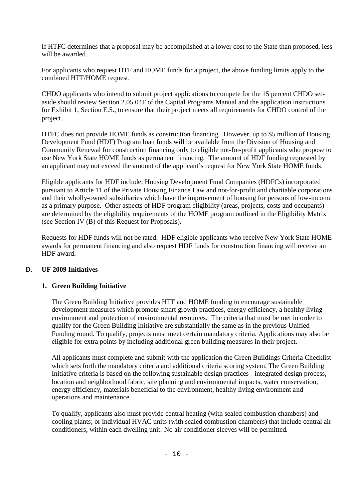If HTFC determines that a proposal may be accomplished at a lower cost to the State than proposed, less will be awarded.

For applicants who request HTF and HOME funds for a project, the above funding limits apply to the combined HTF/HOME request.

CHDO applicants who intend to submit project applications to compete for the 15 percent CHDO setaside should review Section 2.05.04F of the Capital Programs Manual and the application instructions for Exhibit 1, Section E.5., to ensure that their project meets all requirements for CHDO control of the project.

HTFC does not provide HOME funds as construction financing. However, up to \$5 million of Housing Development Fund (HDF) Program loan funds will be available from the Division of Housing and Community Renewal for construction financing only to eligible not-for-profit applicants who propose to use New York State HOME funds as permanent financing. The amount of HDF funding requested by an applicant may not exceed the amount of the applicant's request for New York State HOME funds.

Eligible applicants for HDF include: Housing Development Fund Companies (HDFCs) incorporated pursuant to Article 11 of the Private Housing Finance Law and not-for-profit and charitable corporations and their wholly-owned subsidiaries which have the improvement of housing for persons of low-income as a primary purpose. Other aspects of HDF program eligibility (areas, projects, costs and occupants) are determined by the eligibility requirements of the HOME program outlined in the Eligibility Matrix (see Section IV (B) of this Request for Proposals).

Requests for HDF funds will not be rated. HDF eligible applicants who receive New York State HOME awards for permanent financing and also request HDF funds for construction financing will receive an HDF award.

## **D. UF 2009 Initiatives**

## **1. Green Building Initiative**

The Green Building Initiative provides HTF and HOME funding to encourage sustainable development measures which promote smart growth practices, energy efficiency, a healthy living environment and protection of environmental resources. The criteria that must be met in order to qualify for the Green Building Initiative are substantially the same as in the previous Unified Funding round. To qualify, projects must meet certain mandatory criteria. Applications may also be eligible for extra points by including additional green building measures in their project.

All applicants must complete and submit with the application the Green Buildings Criteria Checklist which sets forth the mandatory criteria and additional criteria scoring system. The Green Building Initiative criteria is based on the following sustainable design practices - integrated design process, location and neighborhood fabric, site planning and environmental impacts, water conservation, energy efficiency, materials beneficial to the environment, healthy living environment and operations and maintenance.

To qualify, applicants also must provide central heating (with sealed combustion chambers) and cooling plants; or individual HVAC units (with sealed combustion chambers) that include central air conditioners, within each dwelling unit. No air conditioner sleeves will be permitted.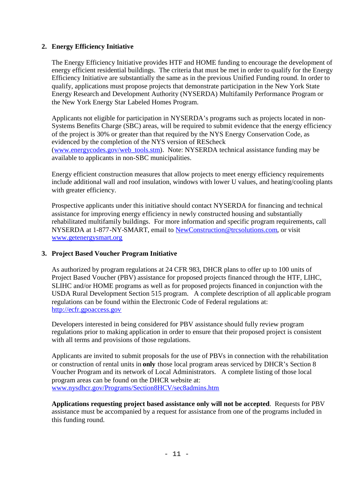## **2. Energy Efficiency Initiative**

The Energy Efficiency Initiative provides HTF and HOME funding to encourage the development of energy efficient residential buildings. The criteria that must be met in order to qualify for the Energy Efficiency Initiative are substantially the same as in the previous Unified Funding round. In order to qualify, applications must propose projects that demonstrate participation in the New York State Energy Research and Development Authority (NYSERDA) Multifamily Performance Program or the New York Energy Star Labeled Homes Program.

Applicants not eligible for participation in NYSERDA's programs such as projects located in non-Systems Benefits Charge (SBC) areas, will be required to submit evidence that the energy efficiency of the project is 30% or greater than that required by the NYS Energy Conservation Code, as evidenced by the completion of the NYS version of REScheck (www.energycodes.gov/web\_tools.stm). Note: NYSERDA technical assistance funding may be available to applicants in non-SBC municipalities.

Energy efficient construction measures that allow projects to meet energy efficiency requirements include additional wall and roof insulation, windows with lower U values, and heating/cooling plants with greater efficiency.

Prospective applicants under this initiative should contact NYSERDA for financing and technical assistance for improving energy efficiency in newly constructed housing and substantially rehabilitated multifamily buildings. For more information and specific program requirements, call NYSERDA at 1-877-NY-SMART, email to NewConstruction@trcsolutions.com, or visit www.getenergysmart.org

### **3. Project Based Voucher Program Initiative**

As authorized by program regulations at 24 CFR 983, DHCR plans to offer up to 100 units of Project Based Voucher (PBV) assistance for proposed projects financed through the HTF, LIHC, SLIHC and/or HOME programs as well as for proposed projects financed in conjunction with the USDA Rural Development Section 515 program. A complete description of all applicable program regulations can be found within the Electronic Code of Federal regulations at: http://ecfr.gpoaccess.gov

Developers interested in being considered for PBV assistance should fully review program regulations prior to making application in order to ensure that their proposed project is consistent with all terms and provisions of those regulations.

Applicants are invited to submit proposals for the use of PBVs in connection with the rehabilitation or construction of rental units in **only** those local program areas serviced by DHCR's Section 8 Voucher Program and its network of Local Administrators. A complete listing of those local program areas can be found on the DHCR website at: www.nysdhcr.gov/Programs/Section8HCV/sec8admins.htm

**Applications requesting project based assistance only will not be accepted**. Requests for PBV assistance must be accompanied by a request for assistance from one of the programs included in this funding round.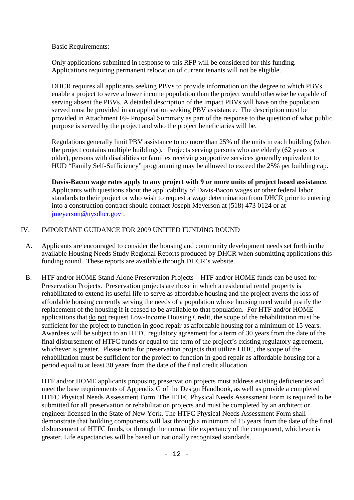Basic Requirements:

Only applications submitted in response to this RFP will be considered for this funding. Applications requiring permanent relocation of current tenants will not be eligible.

DHCR requires all applicants seeking PBVs to provide information on the degree to which PBVs enable a project to serve a lower income population than the project would otherwise be capable of serving absent the PBVs. A detailed description of the impact PBVs will have on the population served must be provided in an application seeking PBV assistance. The description must be provided in Attachment F9- Proposal Summary as part of the response to the question of what public purpose is served by the project and who the project beneficiaries will be.

Regulations generally limit PBV assistance to no more than 25% of the units in each building (when the project contains multiple buildings). Projects serving persons who are elderly (62 years or older), persons with disabilities or families receiving supportive services generally equivalent to HUD "Family Self-Sufficiency" programming may be allowed to exceed the 25% per building cap.

**Davis-Bacon wage rates apply to any project with 9 or more units of project based assistance**. Applicants with questions about the applicability of Davis-Bacon wages or other federal labor standards to their project or who wish to request a wage determination from DHCR prior to entering into a construction contract should contact Joseph Meyerson at (518) 473-0124 or at jmeyerson@nysdhcr.gov .

## IV. IMPORTANT GUIDANCE FOR 2009 UNIFIED FUNDING ROUND

- A. Applicants are encouraged to consider the housing and community development needs set forth in the available Housing Needs Study Regional Reports produced by DHCR when submitting applications this funding round. These reports are available through DHCR's website.
- B. HTF and/or HOME Stand-Alone Preservation Projects HTF and/or HOME funds can be used for Preservation Projects. Preservation projects are those in which a residential rental property is rehabilitated to extend its useful life to serve as affordable housing and the project averts the loss of affordable housing currently serving the needs of a population whose housing need would justify the replacement of the housing if it ceased to be available to that population. For HTF and/or HOME applications that do not request Low-Income Housing Credit, the scope of the rehabilitation must be sufficient for the project to function in good repair as affordable housing for a minimum of 15 years. Awardees will be subject to an HTFC regulatory agreement for a term of 30 years from the date of the final disbursement of HTFC funds or equal to the term of the project's existing regulatory agreement, whichever is greater. Please note for preservation projects that utilize LIHC, the scope of the rehabilitation must be sufficient for the project to function in good repair as affordable housing for a period equal to at least 30 years from the date of the final credit allocation.

HTF and/or HOME applicants proposing preservation projects must address existing deficiencies and meet the base requirements of Appendix G of the Design Handbook, as well as provide a completed HTFC Physical Needs Assessment Form. The HTFC Physical Needs Assessment Form is required to be submitted for all preservation or rehabilitation projects and must be completed by an architect or engineer licensed in the State of New York. The HTFC Physical Needs Assessment Form shall demonstrate that building components will last through a minimum of 15 years from the date of the final disbursement of HTFC funds, or through the normal life expectancy of the component, whichever is greater. Life expectancies will be based on nationally recognized standards.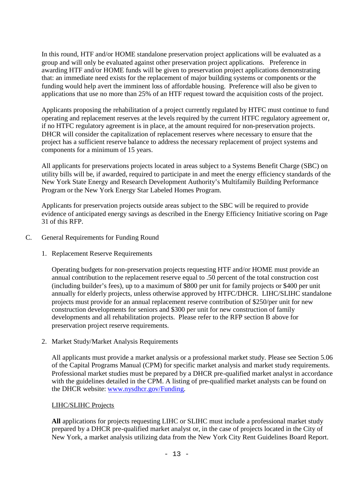In this round, HTF and/or HOME standalone preservation project applications will be evaluated as a group and will only be evaluated against other preservation project applications. Preference in awarding HTF and/or HOME funds will be given to preservation project applications demonstrating that: an immediate need exists for the replacement of major building systems or components or the funding would help avert the imminent loss of affordable housing. Preference will also be given to applications that use no more than 25% of an HTF request toward the acquisition costs of the project.

Applicants proposing the rehabilitation of a project currently regulated by HTFC must continue to fund operating and replacement reserves at the levels required by the current HTFC regulatory agreement or, if no HTFC regulatory agreement is in place, at the amount required for non-preservation projects. DHCR will consider the capitalization of replacement reserves where necessary to ensure that the project has a sufficient reserve balance to address the necessary replacement of project systems and components for a minimum of 15 years.

All applicants for preservations projects located in areas subject to a Systems Benefit Charge (SBC) on utility bills will be, if awarded, required to participate in and meet the energy efficiency standards of the New York State Energy and Research Development Authority's Multifamily Building Performance Program or the New York Energy Star Labeled Homes Program.

Applicants for preservation projects outside areas subject to the SBC will be required to provide evidence of anticipated energy savings as described in the Energy Efficiency Initiative scoring on Page 31 of this RFP.

- C. General Requirements for Funding Round
	- 1. Replacement Reserve Requirements

Operating budgets for non-preservation projects requesting HTF and/or HOME must provide an annual contribution to the replacement reserve equal to .50 percent of the total construction cost (including builder's fees), up to a maximum of \$800 per unit for family projects or \$400 per unit annually for elderly projects, unless otherwise approved by HTFC/DHCR. LIHC/SLIHC standalone projects must provide for an annual replacement reserve contribution of \$250/per unit for new construction developments for seniors and \$300 per unit for new construction of family developments and all rehabilitation projects. Please refer to the RFP section B above for preservation project reserve requirements.

2. Market Study/Market Analysis Requirements

All applicants must provide a market analysis or a professional market study. Please see Section 5.06 of the Capital Programs Manual (CPM) for specific market analysis and market study requirements. Professional market studies must be prepared by a DHCR pre-qualified market analyst in accordance with the guidelines detailed in the CPM. A listing of pre-qualified market analysts can be found on the DHCR website: www.nysdhcr.gov/Funding.

## LIHC/SLIHC Projects

**All** applications for projects requesting LIHC or SLIHC must include a professional market study prepared by a DHCR pre-qualified market analyst or, in the case of projects located in the City of New York, a market analysis utilizing data from the New York City Rent Guidelines Board Report.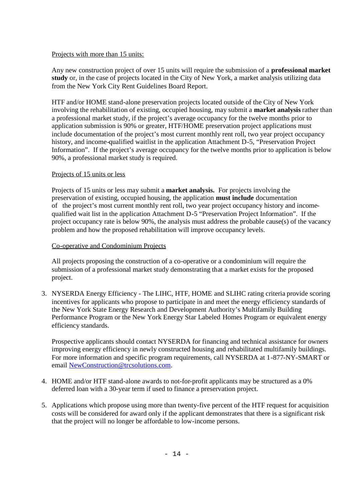### Projects with more than 15 units:

Any new construction project of over 15 units will require the submission of a **professional market study** or, in the case of projects located in the City of New York, a market analysis utilizing data from the New York City Rent Guidelines Board Report.

HTF and/or HOME stand-alone preservation projects located outside of the City of New York involving the rehabilitation of existing, occupied housing, may submit a **market analysis** rather than a professional market study, if the project's average occupancy for the twelve months prior to application submission is 90% or greater, HTF/HOME preservation project applications must include documentation of the project's most current monthly rent roll, two year project occupancy history, and income-qualified waitlist in the application Attachment D-5, "Preservation Project Information". If the project's average occupancy for the twelve months prior to application is below 90%, a professional market study is required.

### Projects of 15 units or less

Projects of 15 units or less may submit a **market analysis.** For projects involving the preservation of existing, occupied housing, the application **must include** documentation of the project's most current monthly rent roll, two year project occupancy history and incomequalified wait list in the application Attachment D-5 "Preservation Project Information". If the project occupancy rate is below 90%, the analysis must address the probable cause(s) of the vacancy problem and how the proposed rehabilitation will improve occupancy levels.

### Co-operative and Condominium Projects

All projects proposing the construction of a co-operative or a condominium will require the submission of a professional market study demonstrating that a market exists for the proposed project.

3. NYSERDA Energy Efficiency - The LIHC, HTF, HOME and SLIHC rating criteria provide scoring incentives for applicants who propose to participate in and meet the energy efficiency standards of the New York State Energy Research and Development Authority's Multifamily Building Performance Program or the New York Energy Star Labeled Homes Program or equivalent energy efficiency standards.

Prospective applicants should contact NYSERDA for financing and technical assistance for owners improving energy efficiency in newly constructed housing and rehabilitated multifamily buildings. For more information and specific program requirements, call NYSERDA at 1-877-NY-SMART or email NewConstruction@trcsolutions.com.

- 4. HOME and/or HTF stand-alone awards to not-for-profit applicants may be structured as a 0% deferred loan with a 30-year term if used to finance a preservation project.
- 5. Applications which propose using more than twenty-five percent of the HTF request for acquisition costs will be considered for award only if the applicant demonstrates that there is a significant risk that the project will no longer be affordable to low-income persons.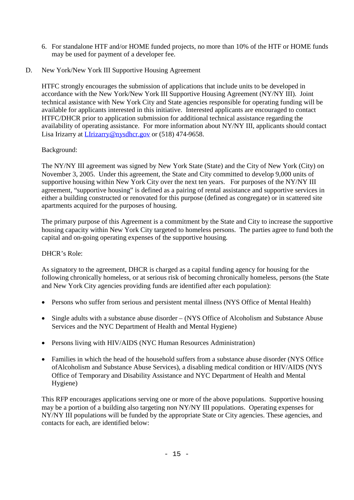- 6. For standalone HTF and/or HOME funded projects, no more than 10% of the HTF or HOME funds may be used for payment of a developer fee.
- D. New York/New York III Supportive Housing Agreement

HTFC strongly encourages the submission of applications that include units to be developed in accordance with the New York/New York III Supportive Housing Agreement (NY/NY III). Joint technical assistance with New York City and State agencies responsible for operating funding will be available for applicants interested in this initiative. Interested applicants are encouraged to contact HTFC/DHCR prior to application submission for additional technical assistance regarding the availability of operating assistance. For more information about NY/NY III, applicants should contact Lisa Irizarry at LIrizarry@nysdhcr.gov or (518) 474-9658.

## Background:

The NY/NY III agreement was signed by New York State (State) and the City of New York (City) on November 3, 2005. Under this agreement, the State and City committed to develop 9,000 units of supportive housing within New York City over the next ten years. For purposes of the NY/NY III agreement, "supportive housing" is defined as a pairing of rental assistance and supportive services in either a building constructed or renovated for this purpose (defined as congregate) or in scattered site apartments acquired for the purposes of housing.

The primary purpose of this Agreement is a commitment by the State and City to increase the supportive housing capacity within New York City targeted to homeless persons. The parties agree to fund both the capital and on-going operating expenses of the supportive housing.

## DHCR's Role:

As signatory to the agreement, DHCR is charged as a capital funding agency for housing for the following chronically homeless, or at serious risk of becoming chronically homeless, persons (the State and New York City agencies providing funds are identified after each population):

- Persons who suffer from serious and persistent mental illness (NYS Office of Mental Health)
- Single adults with a substance abuse disorder (NYS Office of Alcoholism and Substance Abuse Services and the NYC Department of Health and Mental Hygiene)
- Persons living with HIV/AIDS (NYC Human Resources Administration)
- Families in which the head of the household suffers from a substance abuse disorder (NYS Office ofAlcoholism and Substance Abuse Services), a disabling medical condition or HIV/AIDS (NYS Office of Temporary and Disability Assistance and NYC Department of Health and Mental Hygiene)

This RFP encourages applications serving one or more of the above populations. Supportive housing may be a portion of a building also targeting non NY/NY III populations. Operating expenses for NY/NY III populations will be funded by the appropriate State or City agencies. These agencies, and contacts for each, are identified below: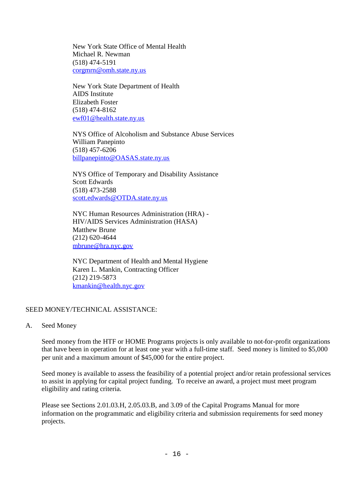New York State Office of Mental Health Michael R. Newman (518) 474-5191 corgmrn@omh.state.ny.us

New York State Department of Health AIDS Institute Elizabeth Foster (518) 474-8162 ewf01@health.state.ny.us

NYS Office of Alcoholism and Substance Abuse Services William Panepinto (518) 457-6206 billpanepinto@OASAS.state.ny.us

NYS Office of Temporary and Disability Assistance Scott Edwards (518) 473-2588 scott.edwards@OTDA.state.ny.us

NYC Human Resources Administration (HRA) - HIV/AIDS Services Administration (HASA) Matthew Brune (212) 620-4644 mbrune@hra.nyc.gov

NYC Department of Health and Mental Hygiene Karen L. Mankin, Contracting Officer (212) 219-5873 kmankin@health.nyc.gov

## SEED MONEY/TECHNICAL ASSISTANCE:

A. Seed Money

Seed money from the HTF or HOME Programs projects is only available to not-for-profit organizations that have been in operation for at least one year with a full-time staff. Seed money is limited to \$5,000 per unit and a maximum amount of \$45,000 for the entire project.

Seed money is available to assess the feasibility of a potential project and/or retain professional services to assist in applying for capital project funding. To receive an award, a project must meet program eligibility and rating criteria.

Please see Sections 2.01.03.H, 2.05.03.B, and 3.09 of the Capital Programs Manual for more information on the programmatic and eligibility criteria and submission requirements for seed money projects.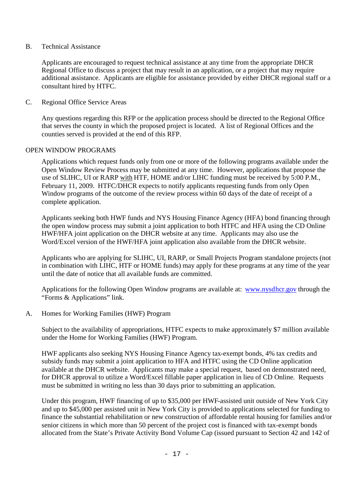B. Technical Assistance

Applicants are encouraged to request technical assistance at any time from the appropriate DHCR Regional Office to discuss a project that may result in an application, or a project that may require additional assistance. Applicants are eligible for assistance provided by either DHCR regional staff or a consultant hired by HTFC.

C. Regional Office Service Areas

Any questions regarding this RFP or the application process should be directed to the Regional Office that serves the county in which the proposed project is located. A list of Regional Offices and the counties served is provided at the end of this RFP.

### OPEN WINDOW PROGRAMS

Applications which request funds only from one or more of the following programs available under the Open Window Review Process may be submitted at any time. However, applications that propose the use of SLIHC, UI or RARP with HTF, HOME and/or LIHC funding must be received by 5:00 P.M., February 11, 2009. HTFC/DHCR expects to notify applicants requesting funds from only Open Window programs of the outcome of the review process within 60 days of the date of receipt of a complete application.

Applicants seeking both HWF funds and NYS Housing Finance Agency (HFA) bond financing through the open window process may submit a joint application to both HTFC and HFA using the CD Online HWF/HFA joint application on the DHCR website at any time. Applicants may also use the Word/Excel version of the HWF/HFA joint application also available from the DHCR website.

Applicants who are applying for SLIHC, UI, RARP, or Small Projects Program standalone projects (not in combination with LIHC, HTF or HOME funds) may apply for these programs at any time of the year until the date of notice that all available funds are committed.

Applications for the following Open Window programs are available at: www.nysdhcr.gov through the "Forms & Applications" link.

A. Homes for Working Families (HWF) Program

Subject to the availability of appropriations, HTFC expects to make approximately \$7 million available under the Home for Working Families (HWF) Program.

HWF applicants also seeking NYS Housing Finance Agency tax-exempt bonds, 4% tax credits and subsidy funds may submit a joint application to HFA and HTFC using the CD Online application available at the DHCR website. Applicants may make a special request, based on demonstrated need, for DHCR approval to utilize a Word/Excel fillable paper application in lieu of CD Online. Requests must be submitted in writing no less than 30 days prior to submitting an application.

Under this program, HWF financing of up to \$35,000 per HWF-assisted unit outside of New York City and up to \$45,000 per assisted unit in New York City is provided to applications selected for funding to finance the substantial rehabilitation or new construction of affordable rental housing for families and/or senior citizens in which more than 50 percent of the project cost is financed with tax-exempt bonds allocated from the State's Private Activity Bond Volume Cap (issued pursuant to Section 42 and 142 of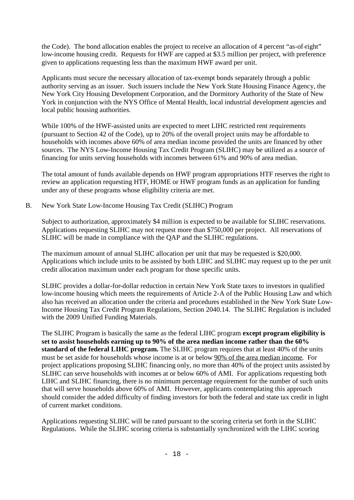the Code). The bond allocation enables the project to receive an allocation of 4 percent "as-of-right" low-income housing credit. Requests for HWF are capped at \$3.5 million per project, with preference given to applications requesting less than the maximum HWF award per unit.

Applicants must secure the necessary allocation of tax-exempt bonds separately through a public authority serving as an issuer. Such issuers include the New York State Housing Finance Agency, the New York City Housing Development Corporation, and the Dormitory Authority of the State of New York in conjunction with the NYS Office of Mental Health, local industrial development agencies and local public housing authorities.

While 100% of the HWF-assisted units are expected to meet LIHC restricted rent requirements (pursuant to Section 42 of the Code), up to 20% of the overall project units may be affordable to households with incomes above 60% of area median income provided the units are financed by other sources. The NYS Low-Income Housing Tax Credit Program (SLIHC) may be utilized as a source of financing for units serving households with incomes between 61% and 90% of area median.

The total amount of funds available depends on HWF program appropriations HTF reserves the right to review an application requesting HTF, HOME or HWF program funds as an application for funding under any of these programs whose eligibility criteria are met.

B. New York State Low-Income Housing Tax Credit (SLIHC) Program

Subject to authorization, approximately \$4 million is expected to be available for SLIHC reservations. Applications requesting SLIHC may not request more than \$750,000 per project. All reservations of SLIHC will be made in compliance with the QAP and the SLIHC regulations.

The maximum amount of annual SLIHC allocation per unit that may be requested is \$20,000. Applications which include units to be assisted by both LIHC and SLIHC may request up to the per unit credit allocation maximum under each program for those specific units.

SLIHC provides a dollar-for-dollar reduction in certain New York State taxes to investors in qualified low-income housing which meets the requirements of Article 2-A of the Public Housing Law and which also has received an allocation under the criteria and procedures established in the New York State Low-Income Housing Tax Credit Program Regulations, Section 2040.14. The SLIHC Regulation is included with the 2009 Unified Funding Materials.

The SLIHC Program is basically the same as the federal LIHC program **except program eligibility is set to assist households earning up to 90% of the area median income rather than the 60% standard of the federal LIHC program.** The SLIHC program requires that at least 40% of the units must be set aside for households whose income is at or below 90% of the area median income. For project applications proposing SLIHC financing only, no more than 40% of the project units assisted by SLIHC can serve households with incomes at or below 60% of AMI. For applications requesting both LIHC and SLIHC financing, there is no minimum percentage requirement for the number of such units that will serve households above 60% of AMI. However, applicants contemplating this approach should consider the added difficulty of finding investors for both the federal and state tax credit in light of current market conditions.

Applications requesting SLIHC will be rated pursuant to the scoring criteria set forth in the SLIHC Regulations. While the SLIHC scoring criteria is substantially synchronized with the LIHC scoring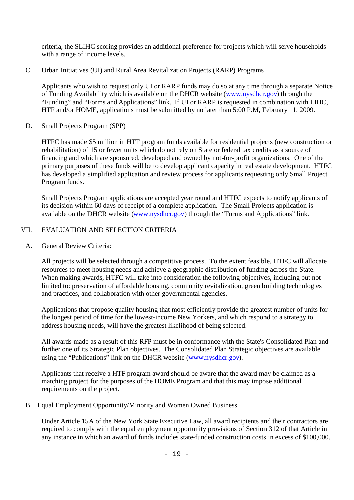criteria, the SLIHC scoring provides an additional preference for projects which will serve households with a range of income levels.

C. Urban Initiatives (UI) and Rural Area Revitalization Projects (RARP) Programs

Applicants who wish to request only UI or RARP funds may do so at any time through a separate Notice of Funding Availability which is available on the DHCR website (www.nysdhcr.gov) through the "Funding" and "Forms and Applications" link. If UI or RARP is requested in combination with LIHC, HTF and/or HOME, applications must be submitted by no later than 5:00 P.M, February 11, 2009.

D. Small Projects Program (SPP)

HTFC has made \$5 million in HTF program funds available for residential projects (new construction or rehabilitation) of 15 or fewer units which do not rely on State or federal tax credits as a source of financing and which are sponsored, developed and owned by not-for-profit organizations. One of the primary purposes of these funds will be to develop applicant capacity in real estate development. HTFC has developed a simplified application and review process for applicants requesting only Small Project Program funds.

Small Projects Program applications are accepted year round and HTFC expects to notify applicants of its decision within 60 days of receipt of a complete application. The Small Projects application is available on the DHCR website (www.nysdhcr.gov) through the "Forms and Applications" link.

### VII. EVALUATION AND SELECTION CRITERIA

A. General Review Criteria:

All projects will be selected through a competitive process. To the extent feasible, HTFC will allocate resources to meet housing needs and achieve a geographic distribution of funding across the State. When making awards, HTFC will take into consideration the following objectives, including but not limited to: preservation of affordable housing, community revitalization, green building technologies and practices, and collaboration with other governmental agencies.

Applications that propose quality housing that most efficiently provide the greatest number of units for the longest period of time for the lowest-income New Yorkers, and which respond to a strategy to address housing needs, will have the greatest likelihood of being selected.

All awards made as a result of this RFP must be in conformance with the State's Consolidated Plan and further one of its Strategic Plan objectives. The Consolidated Plan Strategic objectives are available using the "Publications" link on the DHCR website (www.nysdhcr.gov).

Applicants that receive a HTF program award should be aware that the award may be claimed as a matching project for the purposes of the HOME Program and that this may impose additional requirements on the project.

B. Equal Employment Opportunity/Minority and Women Owned Business

Under Article 15A of the New York State Executive Law, all award recipients and their contractors are required to comply with the equal employment opportunity provisions of Section 312 of that Article in any instance in which an award of funds includes state-funded construction costs in excess of \$100,000.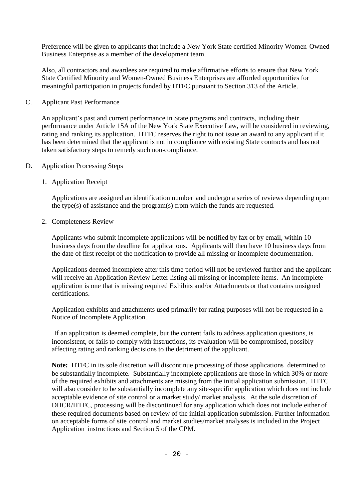Preference will be given to applicants that include a New York State certified Minority Women-Owned Business Enterprise as a member of the development team.

Also, all contractors and awardees are required to make affirmative efforts to ensure that New York State Certified Minority and Women-Owned Business Enterprises are afforded opportunities for meaningful participation in projects funded by HTFC pursuant to Section 313 of the Article.

C. Applicant Past Performance

An applicant's past and current performance in State programs and contracts, including their performance under Article 15A of the New York State Executive Law, will be considered in reviewing, rating and ranking its application. HTFC reserves the right to not issue an award to any applicant if it has been determined that the applicant is not in compliance with existing State contracts and has not taken satisfactory steps to remedy such non-compliance.

- D. Application Processing Steps
	- 1. Application Receipt

Applications are assigned an identification number and undergo a series of reviews depending upon the type(s) of assistance and the program(s) from which the funds are requested.

2. Completeness Review

Applicants who submit incomplete applications will be notified by fax or by email, within 10 business days from the deadline for applications. Applicants will then have 10 business days from the date of first receipt of the notification to provide all missing or incomplete documentation.

Applications deemed incomplete after this time period will not be reviewed further and the applicant will receive an Application Review Letter listing all missing or incomplete items. An incomplete application is one that is missing required Exhibits and/or Attachments or that contains unsigned certifications.

Application exhibits and attachments used primarily for rating purposes will not be requested in a Notice of Incomplete Application.

If an application is deemed complete, but the content fails to address application questions, is inconsistent, or fails to comply with instructions, its evaluation will be compromised, possibly affecting rating and ranking decisions to the detriment of the applicant.

**Note:** HTFC in its sole discretion will discontinue processing of those applications determined to be substantially incomplete. Substantially incomplete applications are those in which 30% or more of the required exhibits and attachments are missing from the initial application submission. HTFC will also consider to be substantially incomplete any site-specific application which does not include acceptable evidence of site control or a market study/ market analysis. At the sole discretion of DHCR/HTFC, processing will be discontinued for any application which does not include either of these required documents based on review of the initial application submission. Further information on acceptable forms of site control and market studies/market analyses is included in the Project Application instructions and Section 5 of the CPM.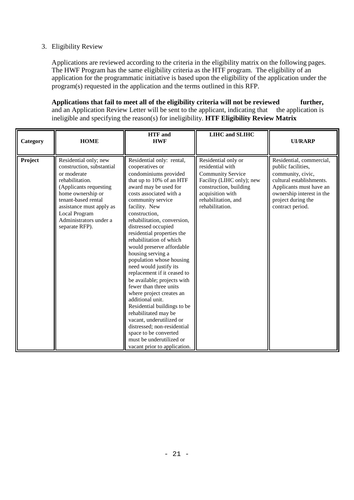# 3. Eligibility Review

Applications are reviewed according to the criteria in the eligibility matrix on the following pages. The HWF Program has the same eligibility criteria as the HTF program. The eligibility of an application for the programmatic initiative is based upon the eligibility of the application under the program(s) requested in the application and the terms outlined in this RFP.

**Applications that fail to meet all of the eligibility criteria will not be reviewed further,** and an Application Review Letter will be sent to the applicant, indicating that the application is ineligible and specifying the reason(s) for ineligibility. **HTF Eligibility Review Matrix**

| Category | <b>HOME</b>                                                                                                                                                                                                                                         | <b>HTF</b> and<br><b>HWF</b>                                                                                                                                                                                                                                                                                                                                                                                                                                                                                                                                                                                                                                                                                                                                                       | <b>LIHC</b> and <b>SLIHC</b>                                                                                                                                                             | <b>UI/RARP</b>                                                                                                                                                                                    |
|----------|-----------------------------------------------------------------------------------------------------------------------------------------------------------------------------------------------------------------------------------------------------|------------------------------------------------------------------------------------------------------------------------------------------------------------------------------------------------------------------------------------------------------------------------------------------------------------------------------------------------------------------------------------------------------------------------------------------------------------------------------------------------------------------------------------------------------------------------------------------------------------------------------------------------------------------------------------------------------------------------------------------------------------------------------------|------------------------------------------------------------------------------------------------------------------------------------------------------------------------------------------|---------------------------------------------------------------------------------------------------------------------------------------------------------------------------------------------------|
| Project  | Residential only; new<br>construction, substantial<br>or moderate<br>rehabilitation.<br>(Applicants requesting<br>home ownership or<br>tenant-based rental<br>assistance must apply as<br>Local Program<br>Administrators under a<br>separate RFP). | Residential only: rental,<br>cooperatives or<br>condominiums provided<br>that up to 10% of an HTF<br>award may be used for<br>costs associated with a<br>community service<br>facility. New<br>construction,<br>rehabilitation, conversion,<br>distressed occupied<br>residential properties the<br>rehabilitation of which<br>would preserve affordable<br>housing serving a<br>population whose housing<br>need would justify its<br>replacement if it ceased to<br>be available; projects with<br>fewer than three units<br>where project creates an<br>additional unit.<br>Residential buildings to be<br>rehabilitated may be<br>vacant, underutilized or<br>distressed; non-residential<br>space to be converted<br>must be underutilized or<br>vacant prior to application. | Residential only or<br>residential with<br><b>Community Service</b><br>Facility (LIHC only); new<br>construction, building<br>acquisition with<br>rehabilitation, and<br>rehabilitation. | Residential, commercial,<br>public facilities,<br>community, civic,<br>cultural establishments.<br>Applicants must have an<br>ownership interest in the<br>project during the<br>contract period. |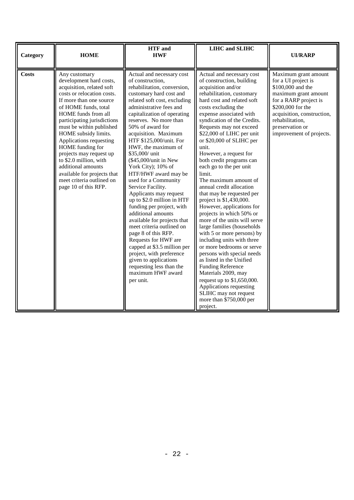| Category     | <b>HOME</b>                                                                                                                                                                                                                                                                                                                                                                                                                                                                    | <b>HTF</b> and<br><b>HWF</b>                                                                                                                                                                                                                                                                                                                                                                                                                                                                                                                                                                                                                                                                                                                                                                                                            | <b>LIHC</b> and <b>SLIHC</b>                                                                                                                                                                                                                                                                                                                                                                                                                                                                                                                                                                                                                                                                                                                                                                                                                                                                                                                                                        | <b>UI/RARP</b>                                                                                                                                                                                                                         |
|--------------|--------------------------------------------------------------------------------------------------------------------------------------------------------------------------------------------------------------------------------------------------------------------------------------------------------------------------------------------------------------------------------------------------------------------------------------------------------------------------------|-----------------------------------------------------------------------------------------------------------------------------------------------------------------------------------------------------------------------------------------------------------------------------------------------------------------------------------------------------------------------------------------------------------------------------------------------------------------------------------------------------------------------------------------------------------------------------------------------------------------------------------------------------------------------------------------------------------------------------------------------------------------------------------------------------------------------------------------|-------------------------------------------------------------------------------------------------------------------------------------------------------------------------------------------------------------------------------------------------------------------------------------------------------------------------------------------------------------------------------------------------------------------------------------------------------------------------------------------------------------------------------------------------------------------------------------------------------------------------------------------------------------------------------------------------------------------------------------------------------------------------------------------------------------------------------------------------------------------------------------------------------------------------------------------------------------------------------------|----------------------------------------------------------------------------------------------------------------------------------------------------------------------------------------------------------------------------------------|
| <b>Costs</b> | Any customary<br>development hard costs,<br>acquisition, related soft<br>costs or relocation costs.<br>If more than one source<br>of HOME funds, total<br>HOME funds from all<br>participating jurisdictions<br>must be within published<br>HOME subsidy limits.<br>Applications requesting<br>HOME funding for<br>projects may request up<br>to \$2.0 million, with<br>additional amounts<br>available for projects that<br>meet criteria outlined on<br>page 10 of this RFP. | Actual and necessary cost<br>of construction,<br>rehabilitation, conversion,<br>customary hard cost and<br>related soft cost, excluding<br>administrative fees and<br>capitalization of operating<br>reserves. No more than<br>50% of award for<br>acquisition. Maximum<br>HTF \$125,000/unit. For<br>HWF, the maximum of<br>\$35,000/ unit<br>(\$45,000/unit in New<br>York City); 10% of<br>HTF/HWF award may be<br>used for a Community<br>Service Facility.<br>Applicants may request<br>up to \$2.0 million in HTF<br>funding per project, with<br>additional amounts<br>available for projects that<br>meet criteria outlined on<br>page 8 of this RFP.<br>Requests for HWF are<br>capped at \$3.5 million per<br>project, with preference<br>given to applications<br>requesting less than the<br>maximum HWF award<br>per unit. | Actual and necessary cost<br>of construction, building<br>acquisition and/or<br>rehabilitation, customary<br>hard cost and related soft<br>costs excluding the<br>expense associated with<br>syndication of the Credits.<br>Requests may not exceed<br>\$22,000 of LIHC per unit<br>or \$20,000 of SLIHC per<br>unit.<br>However, a request for<br>both credit programs can<br>each go to the per unit<br>limit.<br>The maximum amount of<br>annual credit allocation<br>that may be requested per<br>project is \$1,430,000.<br>However, applications for<br>projects in which 50% or<br>more of the units will serve<br>large families (households<br>with 5 or more persons) by<br>including units with three<br>or more bedrooms or serve<br>persons with special needs<br>as listed in the Unified<br><b>Funding Reference</b><br>Materials 2009, may<br>request up to \$1,650,000.<br>Applications requesting<br>SLIHC may not request<br>more than \$750,000 per<br>project. | Maximum grant amount<br>for a UI project is<br>\$100,000 and the<br>maximum grant amount<br>for a RARP project is<br>\$200,000 for the<br>acquisition, construction,<br>rehabilitation,<br>preservation or<br>improvement of projects. |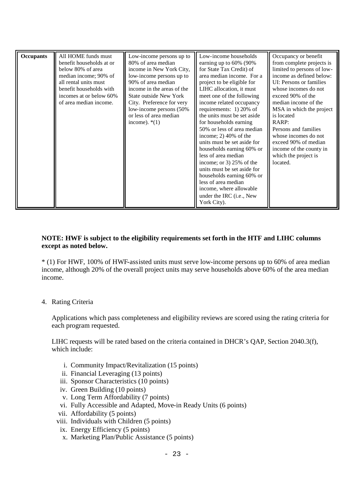| <b>Occupants</b> | All HOME funds must<br>benefit households at or<br>below 80% of area<br>median income; 90% of<br>all rental units must<br>benefit households with<br>incomes at or below 60%<br>of area median income. | Low-income persons up to<br>80% of area median<br>income in New York City,<br>low-income persons up to<br>90% of area median<br>income in the areas of the<br><b>State outside New York</b><br>City. Preference for very<br>low-income persons (50%)<br>or less of area median<br>income). $*(1)$ | Low-income households<br>earning up to $60\%$ (90%)<br>for State Tax Credit) of<br>area median income. For a<br>project to be eligible for<br>LIHC allocation, it must<br>meet one of the following<br>income related occupancy<br>requirements: $1)$ 20% of<br>the units must be set aside<br>for households earning<br>50% or less of area median<br>income; $2)$ 40% of the<br>units must be set aside for<br>households earning 60% or<br>less of area median<br>income; or 3) $25\%$ of the<br>units must be set aside for<br>households earning 60% or<br>less of area median<br>income, where allowable<br>under the IRC (i.e., New<br>York City). | Occupancy or benefit<br>from complete projects is<br>limited to persons of low-<br>income as defined below:<br>UI: Persons or families<br>whose incomes do not<br>exceed 90% of the<br>median income of the<br>MSA in which the project<br>is located<br>RARP:<br>Persons and families<br>whose incomes do not<br>exceed 90% of median<br>income of the county in<br>which the project is<br>located. |
|------------------|--------------------------------------------------------------------------------------------------------------------------------------------------------------------------------------------------------|---------------------------------------------------------------------------------------------------------------------------------------------------------------------------------------------------------------------------------------------------------------------------------------------------|-----------------------------------------------------------------------------------------------------------------------------------------------------------------------------------------------------------------------------------------------------------------------------------------------------------------------------------------------------------------------------------------------------------------------------------------------------------------------------------------------------------------------------------------------------------------------------------------------------------------------------------------------------------|-------------------------------------------------------------------------------------------------------------------------------------------------------------------------------------------------------------------------------------------------------------------------------------------------------------------------------------------------------------------------------------------------------|
|------------------|--------------------------------------------------------------------------------------------------------------------------------------------------------------------------------------------------------|---------------------------------------------------------------------------------------------------------------------------------------------------------------------------------------------------------------------------------------------------------------------------------------------------|-----------------------------------------------------------------------------------------------------------------------------------------------------------------------------------------------------------------------------------------------------------------------------------------------------------------------------------------------------------------------------------------------------------------------------------------------------------------------------------------------------------------------------------------------------------------------------------------------------------------------------------------------------------|-------------------------------------------------------------------------------------------------------------------------------------------------------------------------------------------------------------------------------------------------------------------------------------------------------------------------------------------------------------------------------------------------------|

### **NOTE: HWF is subject to the eligibility requirements set forth in the HTF and LIHC columns except as noted below.**

\* (1) For HWF, 100% of HWF-assisted units must serve low-income persons up to 60% of area median income, although 20% of the overall project units may serve households above 60% of the area median income.

### 4. Rating Criteria

Applications which pass completeness and eligibility reviews are scored using the rating criteria for each program requested.

LIHC requests will be rated based on the criteria contained in DHCR's QAP, Section 2040.3(f), which include:

- i. Community Impact/Revitalization (15 points)
- ii. Financial Leveraging (13 points)
- iii. Sponsor Characteristics (10 points)
- iv. Green Building (10 points)
- v. Long Term Affordability (7 points)
- vi. Fully Accessible and Adapted, Move-in Ready Units (6 points)
- vii. Affordability (5 points)
- viii. Individuals with Children (5 points)
- ix. Energy Efficiency (5 points)
- x. Marketing Plan/Public Assistance (5 points)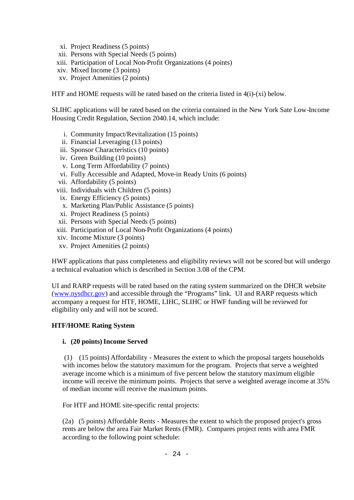- xi. Project Readiness (5 points)
- xii. Persons with Special Needs (5 points)
- xiii. Participation of Local Non-Profit Organizations (4 points)
- xiv. Mixed Income (3 points)
- xv. Project Amenities (2 points)

HTF and HOME requests will be rated based on the criteria listed in 4(i)-(xi) below.

SLIHC applications will be rated based on the criteria contained in the New York Sate Low-Income Housing Credit Regulation, Section 2040.14, which include:

- i. Community Impact/Revitalization (15 points)
- ii. Financial Leveraging (13 points)
- iii. Sponsor Characteristics (10 points)
- iv. Green Building (10 points)
- v. Long Term Affordability (7 points)
- vi. Fully Accessible and Adapted, Move-in Ready Units (6 points)
- vii. Affordability (5 points)
- viii. Individuals with Children (5 points)
- ix. Energy Efficiency (5 points)
- x. Marketing Plan/Public Assistance (5 points)
- xi. Project Readiness (5 points)
- xii. Persons with Special Needs (5 points)
- xiii. Participation of Local Non-Profit Organizations (4 points)
- xiv. Income Mixture (3 points)
- xv. Project Amenities (2 points)

HWF applications that pass completeness and eligibility reviews will not be scored but will undergo a technical evaluation which is described in Section 3.08 of the CPM.

UI and RARP requests will be rated based on the rating system summarized on the DHCR website (www.nysdhcr.gov) and accessible through the "Programs" link. UI and RARP requests which accompany a request for HTF, HOME, LIHC, SLIHC or HWF funding will be reviewed for eligibility only and will not be scored.

### **HTF/HOME Rating System**

### **i.** (20 points) Income Served

(1) (15 points) Affordability - Measures the extent to which the proposal targets households with incomes below the statutory maximum for the program. Projects that serve a weighted average income which is a minimum of five percent below the statutory maximum eligible income will receive the minimum points. Projects that serve a weighted average income at 35% of median income will receive the maximum points.

For HTF and HOME site-specific rental projects:

(2a) (5 points) Affordable Rents - Measures the extent to which the proposed project's gross rents are below the area Fair Market Rents (FMR). Compares project rents with area FMR according to the following point schedule: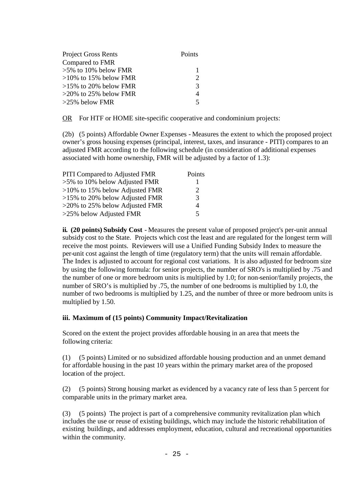| <b>Project Gross Rents</b> | Points                      |
|----------------------------|-----------------------------|
| Compared to FMR            |                             |
| $>5\%$ to 10% below FMR    | -1                          |
| $>10\%$ to 15% below FMR   | $\mathcal{D}_{\mathcal{A}}$ |
| $>15\%$ to 20% below FMR   | 3                           |
| $>20\%$ to 25% below FMR   | $\overline{4}$              |
| $>25\%$ below FMR          | $\overline{\mathcal{L}}$    |

OR For HTF or HOME site-specific cooperative and condominium projects:

(2b) (5 points) Affordable Owner Expenses - Measures the extent to which the proposed project owner's gross housing expenses (principal, interest, taxes, and insurance - PITI) compares to an adjusted FMR according to the following schedule (in consideration of additional expenses associated with home ownership, FMR will be adjusted by a factor of 1.3):

| PITI Compared to Adjusted FMR     | Points |
|-----------------------------------|--------|
| $>5\%$ to 10% below Adjusted FMR  |        |
| $>10\%$ to 15% below Adjusted FMR | 2      |
| $>15\%$ to 20% below Adjusted FMR | 3      |
| $>20\%$ to 25% below Adjusted FMR | 4      |
| $>25\%$ below Adjusted FMR        | 5      |

**ii. (20 points) Subsidy Cost** - Measures the present value of proposed project's per-unit annual subsidy cost to the State. Projects which cost the least and are regulated for the longest term will receive the most points. Reviewers will use a Unified Funding Subsidy Index to measure the per-unit cost against the length of time (regulatory term) that the units will remain affordable. The Index is adjusted to account for regional cost variations. It is also adjusted for bedroom size by using the following formula: for senior projects, the number of SRO's is multiplied by .75 and the number of one or more bedroom units is multiplied by 1.0; for non-senior/family projects, the number of SRO's is multiplied by .75, the number of one bedrooms is multiplied by 1.0, the number of two bedrooms is multiplied by 1.25, and the number of three or more bedroom units is multiplied by 1.50.

### **iii. Maximum of (15 points) Community Impact/Revitalization**

Scored on the extent the project provides affordable housing in an area that meets the following criteria:

(1) (5 points) Limited or no subsidized affordable housing production and an unmet demand for affordable housing in the past 10 years within the primary market area of the proposed location of the project.

(2) (5 points) Strong housing market as evidenced by a vacancy rate of less than 5 percent for comparable units in the primary market area.

(3) (5 points) The project is part of a comprehensive community revitalization plan which includes the use or reuse of existing buildings, which may include the historic rehabilitation of existing buildings, and addresses employment, education, cultural and recreational opportunities within the community.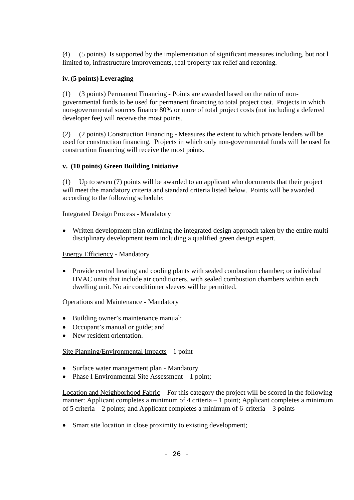(4) (5 points) Is supported by the implementation of significant measures including, but not l limited to, infrastructure improvements, real property tax relief and rezoning.

# **iv. (5 points) Leveraging**

(1) (3 points) Permanent Financing - Points are awarded based on the ratio of nongovernmental funds to be used for permanent financing to total project cost. Projects in which non-governmental sources finance 80% or more of total project costs (not including a deferred developer fee) will receive the most points.

(2) (2 points) Construction Financing - Measures the extent to which private lenders will be used for construction financing. Projects in which only non-governmental funds will be used for construction financing will receive the most points.

## **v. (10 points) Green Building Initiative**

(1) Up to seven (7) points will be awarded to an applicant who documents that their project will meet the mandatory criteria and standard criteria listed below. Points will be awarded according to the following schedule:

## Integrated Design Process - Mandatory

 Written development plan outlining the integrated design approach taken by the entire multidisciplinary development team including a qualified green design expert.

## Energy Efficiency - Mandatory

• Provide central heating and cooling plants with sealed combustion chamber; or individual HVAC units that include air conditioners, with sealed combustion chambers within each dwelling unit. No air conditioner sleeves will be permitted.

## Operations and Maintenance - Mandatory

- Building owner's maintenance manual;
- Occupant's manual or guide; and
- New resident orientation.

## Site Planning/Environmental Impacts – 1 point

- Surface water management plan Mandatory
- Phase I Environmental Site Assessment 1 point;

Location and Neighborhood Fabric – For this category the project will be scored in the following manner: Applicant completes a minimum of 4 criteria – 1 point; Applicant completes a minimum of 5 criteria – 2 points; and Applicant completes a minimum of 6 criteria – 3 points

• Smart site location in close proximity to existing development;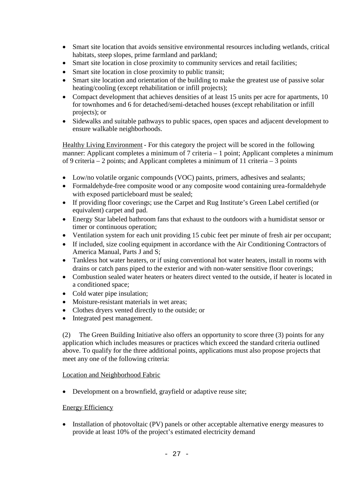- Smart site location that avoids sensitive environmental resources including wetlands, critical habitats, steep slopes, prime farmland and parkland;
- Smart site location in close proximity to community services and retail facilities;
- Smart site location in close proximity to public transit;
- Smart site location and orientation of the building to make the greatest use of passive solar heating/cooling (except rehabilitation or infill projects);
- Compact development that achieves densities of at least 15 units per acre for apartments, 10 for townhomes and 6 for detached/semi-detached houses (except rehabilitation or infill projects); or
- Sidewalks and suitable pathways to public spaces, open spaces and adjacent development to ensure walkable neighborhoods.

Healthy Living Environment - For this category the project will be scored in the following manner: Applicant completes a minimum of 7 criteria – 1 point; Applicant completes a minimum of 9 criteria – 2 points; and Applicant completes a minimum of 11 criteria – 3 points

- Low/no volatile organic compounds (VOC) paints, primers, adhesives and sealants;
- Formaldehyde-free composite wood or any composite wood containing urea-formaldehyde with exposed particleboard must be sealed;
- If providing floor coverings; use the Carpet and Rug Institute's Green Label certified (or equivalent) carpet and pad.
- Energy Star labeled bathroom fans that exhaust to the outdoors with a humidistat sensor or timer or continuous operation;
- Ventilation system for each unit providing 15 cubic feet per minute of fresh air per occupant;
- If included, size cooling equipment in accordance with the Air Conditioning Contractors of America Manual, Parts J and S;
- Tankless hot water heaters, or if using conventional hot water heaters, install in rooms with drains or catch pans piped to the exterior and with non-water sensitive floor coverings;
- Combustion sealed water heaters or heaters direct vented to the outside, if heater is located in a conditioned space;
- Cold water pipe insulation;
- Moisture-resistant materials in wet areas;
- Clothes dryers vented directly to the outside; or
- Integrated pest management.

(2) The Green Building Initiative also offers an opportunity to score three (3) points for any application which includes measures or practices which exceed the standard criteria outlined above. To qualify for the three additional points, applications must also propose projects that meet any one of the following criteria:

## Location and Neighborhood Fabric

• Development on a brownfield, grayfield or adaptive reuse site;

### Energy Efficiency

• Installation of photovoltaic (PV) panels or other acceptable alternative energy measures to provide at least 10% of the project's estimated electricity demand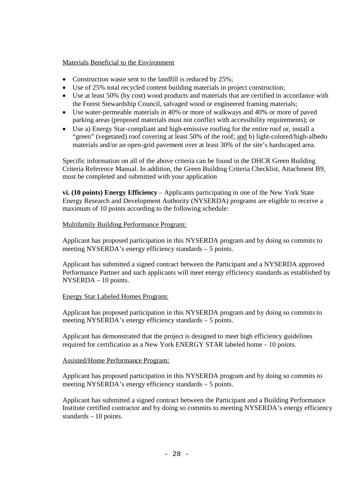### Materials Beneficial to the Environment

- Construction waste sent to the landfill is reduced by 25%;
- Use of 25% total recycled content building materials in project construction;
- Use at least 50% (by cost) wood products and materials that are certified in accordance with the Forest Stewardship Council, salvaged wood or engineered framing materials;
- Use water-permeable materials in 40% or more of walkways and 40% or more of paved parking areas (proposed materials must not conflict with accessibility requirements); or
- Use a) Energy Star-compliant and high-emissive roofing for the entire roof or, install a "green" (vegetated) roof covering at least 50% of the roof; and b) light-colored/high-albedo materials and/or an open-grid pavement over at least 30% of the site's hardscaped area.

Specific information on all of the above criteria can be found in the DHCR Green Building Criteria Reference Manual. In addition, the Green Building Criteria Checklist, Attachment B9, must be completed and submitted with your application

**vi. (10 points) Energy Efficiency** – Applicants participating in one of the New York State Energy Research and Development Authority (NYSERDA) programs are eligible to receive a maximum of 10 points according to the following schedule:

### Multifamily Building Performance Program:

Applicant has proposed participation in this NYSERDA program and by doing so commits to meeting NYSERDA's energy efficiency standards – 5 points.

Applicant has submitted a signed contract between the Participant and a NYSERDA approved Performance Partner and such applicants will meet energy efficiency standards as established by NYSERDA – 10 points.

## Energy Star Labeled Homes Program:

Applicant has proposed participation in this NYSERDA program and by doing so commits to meeting NYSERDA's energy efficiency standards – 5 points.

Applicant has demonstrated that the project is designed to meet high efficiency guidelines required for certification as a New York ENERGY STAR labeled home – 10 points.

## Assisted/Home Performance Program:

Applicant has proposed participation in this NYSERDA program and by doing so commits to meeting NYSERDA's energy efficiency standards – 5 points.

Applicant has submitted a signed contract between the Participant and a Building Performance Institute certified contractor and by doing so commits to meeting NYSERDA's energy efficiency standards – 10 points.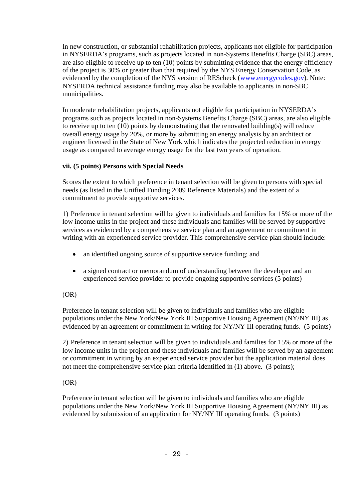In new construction, or substantial rehabilitation projects, applicants not eligible for participation in NYSERDA's programs, such as projects located in non-Systems Benefits Charge (SBC) areas, are also eligible to receive up to ten (10) points by submitting evidence that the energy efficiency of the project is 30% or greater than that required by the NYS Energy Conservation Code, as evidenced by the completion of the NYS version of REScheck (www.energycodes.gov). Note: NYSERDA technical assistance funding may also be available to applicants in non-SBC municipalities.

In moderate rehabilitation projects, applicants not eligible for participation in NYSERDA's programs such as projects located in non-Systems Benefits Charge (SBC) areas, are also eligible to receive up to ten (10) points by demonstrating that the renovated building(s) will reduce overall energy usage by 20%, or more by submitting an energy analysis by an architect or engineer licensed in the State of New York which indicates the projected reduction in energy usage as compared to average energy usage for the last two years of operation.

## **vii. (5 points) Persons with Special Needs**

Scores the extent to which preference in tenant selection will be given to persons with special needs (as listed in the Unified Funding 2009 Reference Materials) and the extent of a commitment to provide supportive services.

1) Preference in tenant selection will be given to individuals and families for 15% or more of the low income units in the project and these individuals and families will be served by supportive services as evidenced by a comprehensive service plan and an agreement or commitment in writing with an experienced service provider. This comprehensive service plan should include:

- an identified ongoing source of supportive service funding; and
- a signed contract or memorandum of understanding between the developer and an experienced service provider to provide ongoing supportive services (5 points)

## (OR)

Preference in tenant selection will be given to individuals and families who are eligible populations under the New York/New York III Supportive Housing Agreement (NY/NY III) as evidenced by an agreement or commitment in writing for NY/NY III operating funds. (5 points)

2) Preference in tenant selection will be given to individuals and families for 15% or more of the low income units in the project and these individuals and families will be served by an agreement or commitment in writing by an experienced service provider but the application material does not meet the comprehensive service plan criteria identified in (1) above. (3 points);

## $(OR)$

Preference in tenant selection will be given to individuals and families who are eligible populations under the New York/New York III Supportive Housing Agreement (NY/NY III) as evidenced by submission of an application for NY/NY III operating funds. (3 points)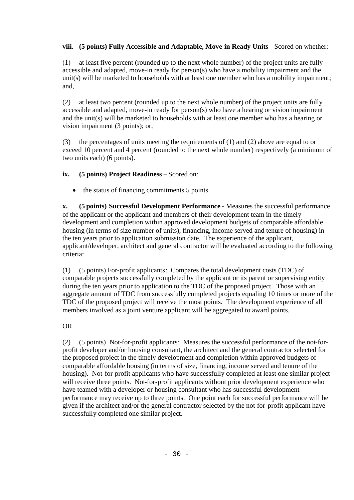# **viii. (5 points) Fully Accessible and Adaptable, Move-in Ready Units** - Scored on whether:

(1) at least five percent (rounded up to the next whole number) of the project units are fully accessible and adapted, move-in ready for person(s) who have a mobility impairment and the unit(s) will be marketed to households with at least one member who has a mobility impairment; and,

(2) at least two percent (rounded up to the next whole number) of the project units are fully accessible and adapted, move-in ready for person(s) who have a hearing or vision impairment and the unit(s) will be marketed to households with at least one member who has a hearing or vision impairment (3 points); or,

(3) the percentages of units meeting the requirements of (1) and (2) above are equal to or exceed 10 percent and 4 percent (rounded to the next whole number) respectively (a minimum of two units each) (6 points).

## **ix. (5 points) Project Readiness** – Scored on:

• the status of financing commitments 5 points.

**x. (5 points) Successful Development Performance** - Measures the successful performance of the applicant or the applicant and members of their development team in the timely development and completion within approved development budgets of comparable affordable housing (in terms of size number of units), financing, income served and tenure of housing) in the ten years prior to application submission date. The experience of the applicant, applicant/developer, architect and general contractor will be evaluated according to the following criteria:

(1) (5 points) For-profit applicants: Compares the total development costs (TDC) of comparable projects successfully completed by the applicant or its parent or supervising entity during the ten years prior to application to the TDC of the proposed project. Those with an aggregate amount of TDC from successfully completed projects equaling 10 times or more of the TDC of the proposed project will receive the most points. The development experience of all members involved as a joint venture applicant will be aggregated to award points.

# OR

(2) (5 points) Not-for-profit applicants: Measures the successful performance of the not-forprofit developer and/or housing consultant, the architect and the general contractor selected for the proposed project in the timely development and completion within approved budgets of comparable affordable housing (in terms of size, financing, income served and tenure of the housing). Not-for-profit applicants who have successfully completed at least one similar project will receive three points. Not-for-profit applicants without prior development experience who have teamed with a developer or housing consultant who has successful development performance may receive up to three points. One point each for successful performance will be given if the architect and/or the general contractor selected by the not-for-profit applicant have successfully completed one similar project.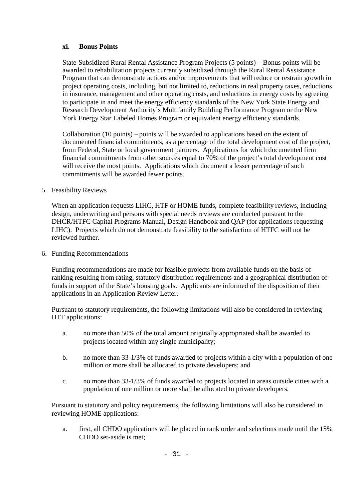### **xi. Bonus Points**

State-Subsidized Rural Rental Assistance Program Projects (5 points) – Bonus points will be awarded to rehabilitation projects currently subsidized through the Rural Rental Assistance Program that can demonstrate actions and/or improvements that will reduce or restrain growth in project operating costs, including, but not limited to, reductions in real property taxes, reductions in insurance, management and other operating costs, and reductions in energy costs by agreeing to participate in and meet the energy efficiency standards of the New York State Energy and Research Development Authority's Multifamily Building Performance Program or the New York Energy Star Labeled Homes Program or equivalent energy efficiency standards.

Collaboration (10 points) – points will be awarded to applications based on the extent of documented financial commitments, as a percentage of the total development cost of the project, from Federal, State or local government partners. Applications for which documented firm financial commitments from other sources equal to 70% of the project's total development cost will receive the most points. Applications which document a lesser percentage of such commitments will be awarded fewer points.

### 5. Feasibility Reviews

When an application requests LIHC, HTF or HOME funds, complete feasibility reviews, including design, underwriting and persons with special needs reviews are conducted pursuant to the DHCR/HTFC Capital Programs Manual, Design Handbook and QAP (for applications requesting LIHC). Projects which do not demonstrate feasibility to the satisfaction of HTFC will not be reviewed further.

6. Funding Recommendations

Funding recommendations are made for feasible projects from available funds on the basis of ranking resulting from rating, statutory distribution requirements and a geographical distribution of funds in support of the State's housing goals. Applicants are informed of the disposition of their applications in an Application Review Letter.

Pursuant to statutory requirements, the following limitations will also be considered in reviewing HTF applications:

- a. no more than 50% of the total amount originally appropriated shall be awarded to projects located within any single municipality;
- b. no more than 33-1/3% of funds awarded to projects within a city with a population of one million or more shall be allocated to private developers; and
- c. no more than 33-1/3% of funds awarded to projects located in areas outside cities with a population of one million or more shall be allocated to private developers.

Pursuant to statutory and policy requirements, the following limitations will also be considered in reviewing HOME applications:

a. first, all CHDO applications will be placed in rank order and selections made until the 15% CHDO set-aside is met;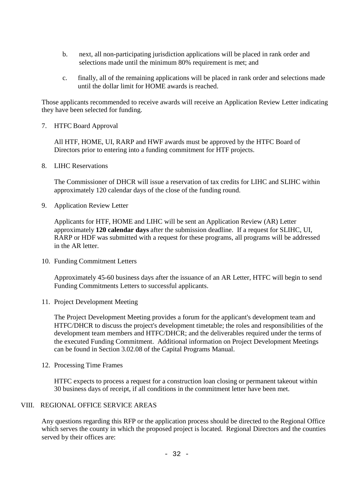- b. next, all non-participating jurisdiction applications will be placed in rank order and selections made until the minimum 80% requirement is met; and
- c. finally, all of the remaining applications will be placed in rank order and selections made until the dollar limit for HOME awards is reached.

Those applicants recommended to receive awards will receive an Application Review Letter indicating they have been selected for funding.

7. HTFC Board Approval

All HTF, HOME, UI, RARP and HWF awards must be approved by the HTFC Board of Directors prior to entering into a funding commitment for HTF projects.

8. LIHC Reservations

The Commissioner of DHCR will issue a reservation of tax credits for LIHC and SLIHC within approximately 120 calendar days of the close of the funding round.

9. Application Review Letter

Applicants for HTF, HOME and LIHC will be sent an Application Review (AR) Letter approximately **120 calendar days** after the submission deadline. If a request for SLIHC, UI, RARP or HDF was submitted with a request for these programs, all programs will be addressed in the AR letter.

10. Funding Commitment Letters

Approximately 45-60 business days after the issuance of an AR Letter, HTFC will begin to send Funding Commitments Letters to successful applicants.

11. Project Development Meeting

The Project Development Meeting provides a forum for the applicant's development team and HTFC/DHCR to discuss the project's development timetable; the roles and responsibilities of the development team members and HTFC/DHCR; and the deliverables required under the terms of the executed Funding Commitment. Additional information on Project Development Meetings can be found in Section 3.02.08 of the Capital Programs Manual.

12. Processing Time Frames

HTFC expects to process a request for a construction loan closing or permanent takeout within 30 business days of receipt, if all conditions in the commitment letter have been met.

### VIII. REGIONAL OFFICE SERVICE AREAS

Any questions regarding this RFP or the application process should be directed to the Regional Office which serves the county in which the proposed project is located. Regional Directors and the counties served by their offices are: